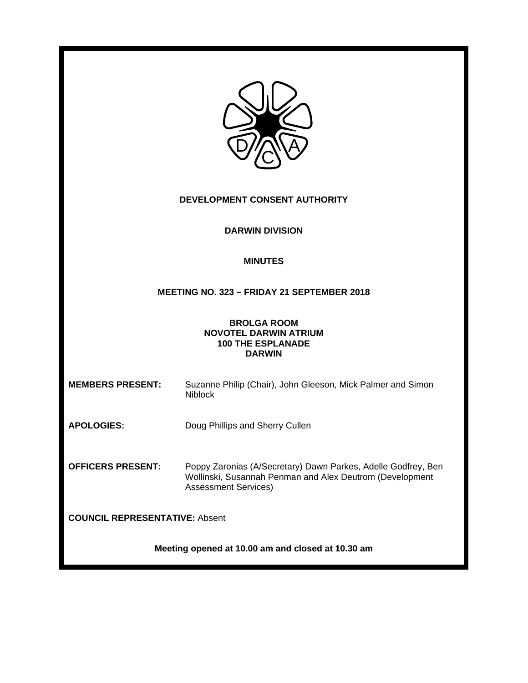| DEVELOPMENT CONSENT AUTHORITY                                                                   |                                                                                                                                                          |  |
|-------------------------------------------------------------------------------------------------|----------------------------------------------------------------------------------------------------------------------------------------------------------|--|
| <b>DARWIN DIVISION</b>                                                                          |                                                                                                                                                          |  |
| <b>MINUTES</b>                                                                                  |                                                                                                                                                          |  |
| MEETING NO. 323 - FRIDAY 21 SEPTEMBER 2018                                                      |                                                                                                                                                          |  |
| <b>BROLGA ROOM</b><br><b>NOVOTEL DARWIN ATRIUM</b><br><b>100 THE ESPLANADE</b><br><b>DARWIN</b> |                                                                                                                                                          |  |
| <b>MEMBERS PRESENT:</b>                                                                         | Suzanne Philip (Chair), John Gleeson, Mick Palmer and Simon<br><b>Niblock</b>                                                                            |  |
| <b>APOLOGIES:</b>                                                                               | Doug Phillips and Sherry Cullen                                                                                                                          |  |
| <b>OFFICERS PRESENT:</b>                                                                        | Poppy Zaronias (A/Secretary) Dawn Parkes, Adelle Godfrey, Ben<br>Wollinski, Susannah Penman and Alex Deutrom (Development<br><b>Assessment Services)</b> |  |
| <b>COUNCIL REPRESENTATIVE: Absent</b>                                                           |                                                                                                                                                          |  |
| Meeting opened at 10.00 am and closed at 10.30 am                                               |                                                                                                                                                          |  |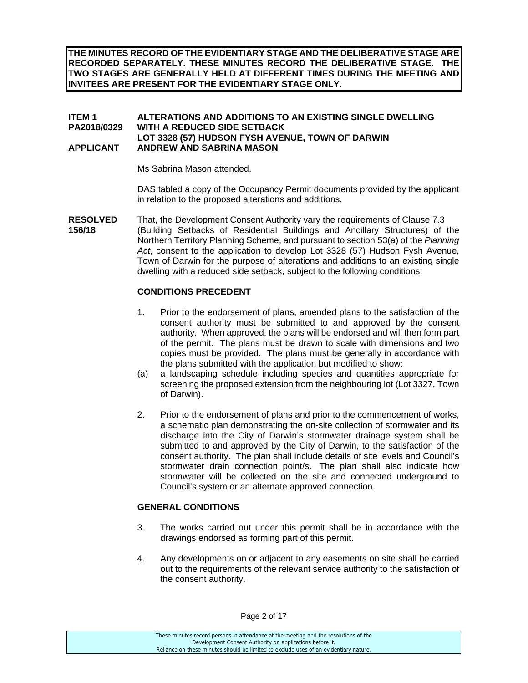**THE MINUTES RECORD OF THE EVIDENTIARY STAGE AND THE DELIBERATIVE STAGE ARE RECORDED SEPARATELY. THESE MINUTES RECORD THE DELIBERATIVE STAGE. THE TWO STAGES ARE GENERALLY HELD AT DIFFERENT TIMES DURING THE MEETING AND INVITEES ARE PRESENT FOR THE EVIDENTIARY STAGE ONLY.** 

## **ITEM 1 ALTERATIONS AND ADDITIONS TO AN EXISTING SINGLE DWELLING PA2018/0329 WITH A REDUCED SIDE SETBACK LOT 3328 (57) HUDSON FYSH AVENUE, TOWN OF DARWIN APPLICANT ANDREW AND SABRINA MASON**

Ms Sabrina Mason attended.

DAS tabled a copy of the Occupancy Permit documents provided by the applicant in relation to the proposed alterations and additions.

**RESOLVED** That, the Development Consent Authority vary the requirements of Clause 7.3 **156/18** (Building Setbacks of Residential Buildings and Ancillary Structures) of the Northern Territory Planning Scheme, and pursuant to section 53(a) of the *Planning Act*, consent to the application to develop Lot 3328 (57) Hudson Fysh Avenue, Town of Darwin for the purpose of alterations and additions to an existing single dwelling with a reduced side setback, subject to the following conditions:

## **CONDITIONS PRECEDENT**

- 1. Prior to the endorsement of plans, amended plans to the satisfaction of the consent authority must be submitted to and approved by the consent authority. When approved, the plans will be endorsed and will then form part of the permit. The plans must be drawn to scale with dimensions and two copies must be provided. The plans must be generally in accordance with the plans submitted with the application but modified to show:
- (a) a landscaping schedule including species and quantities appropriate for screening the proposed extension from the neighbouring lot (Lot 3327, Town of Darwin).
- 2. Prior to the endorsement of plans and prior to the commencement of works, a schematic plan demonstrating the on-site collection of stormwater and its discharge into the City of Darwin's stormwater drainage system shall be submitted to and approved by the City of Darwin, to the satisfaction of the consent authority. The plan shall include details of site levels and Council's stormwater drain connection point/s. The plan shall also indicate how stormwater will be collected on the site and connected underground to Council's system or an alternate approved connection.

## **GENERAL CONDITIONS**

- 3. The works carried out under this permit shall be in accordance with the drawings endorsed as forming part of this permit.
- 4. Any developments on or adjacent to any easements on site shall be carried out to the requirements of the relevant service authority to the satisfaction of the consent authority.

Page 2 of 17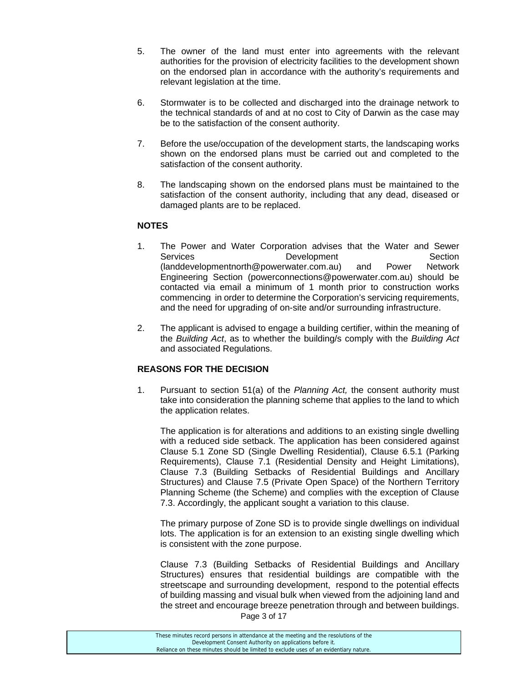- 5. The owner of the land must enter into agreements with the relevant authorities for the provision of electricity facilities to the development shown on the endorsed plan in accordance with the authority's requirements and relevant legislation at the time.
- 6. Stormwater is to be collected and discharged into the drainage network to the technical standards of and at no cost to City of Darwin as the case may be to the satisfaction of the consent authority.
- 7. Before the use/occupation of the development starts, the landscaping works shown on the endorsed plans must be carried out and completed to the satisfaction of the consent authority.
- 8. The landscaping shown on the endorsed plans must be maintained to the satisfaction of the consent authority, including that any dead, diseased or damaged plants are to be replaced.

## **NOTES**

- 1. The Power and Water Corporation advises that the Water and Sewer Services **Development** Development Section (landdevelopmentnorth@powerwater.com.au) and Power Network Engineering Section (powerconnections@powerwater.com.au) should be contacted via email a minimum of 1 month prior to construction works commencing in order to determine the Corporation's servicing requirements, and the need for upgrading of on-site and/or surrounding infrastructure.
- 2. The applicant is advised to engage a building certifier, within the meaning of the *Building Act*, as to whether the building/s comply with the *Building Act* and associated Regulations.

## **REASONS FOR THE DECISION**

1. Pursuant to section 51(a) of the *Planning Act,* the consent authority must take into consideration the planning scheme that applies to the land to which the application relates.

The application is for alterations and additions to an existing single dwelling with a reduced side setback. The application has been considered against Clause 5.1 Zone SD (Single Dwelling Residential), Clause 6.5.1 (Parking Requirements), Clause 7.1 (Residential Density and Height Limitations), Clause 7.3 (Building Setbacks of Residential Buildings and Ancillary Structures) and Clause 7.5 (Private Open Space) of the Northern Territory Planning Scheme (the Scheme) and complies with the exception of Clause 7.3. Accordingly, the applicant sought a variation to this clause.

The primary purpose of Zone SD is to provide single dwellings on individual lots. The application is for an extension to an existing single dwelling which is consistent with the zone purpose.

Clause 7.3 (Building Setbacks of Residential Buildings and Ancillary Structures) ensures that residential buildings are compatible with the streetscape and surrounding development, respond to the potential effects of building massing and visual bulk when viewed from the adjoining land and the street and encourage breeze penetration through and between buildings.

Page 3 of 17

| These minutes record persons in attendance at the meeting and the resolutions of the  |
|---------------------------------------------------------------------------------------|
| Development Consent Authority on applications before it.                              |
| Reliance on these minutes should be limited to exclude uses of an evidentiary nature. |
|                                                                                       |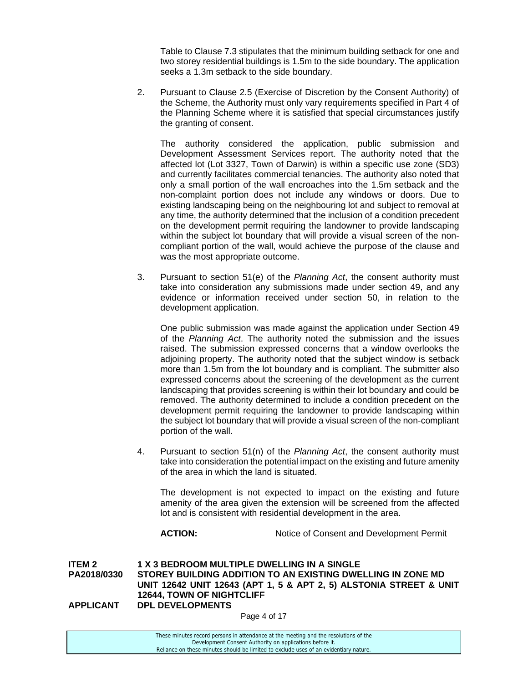Table to Clause 7.3 stipulates that the minimum building setback for one and two storey residential buildings is 1.5m to the side boundary. The application seeks a 1.3m setback to the side boundary.

2. Pursuant to Clause 2.5 (Exercise of Discretion by the Consent Authority) of the Scheme, the Authority must only vary requirements specified in Part 4 of the Planning Scheme where it is satisfied that special circumstances justify the granting of consent.

The authority considered the application, public submission and Development Assessment Services report. The authority noted that the affected lot (Lot 3327, Town of Darwin) is within a specific use zone (SD3) and currently facilitates commercial tenancies. The authority also noted that only a small portion of the wall encroaches into the 1.5m setback and the non-complaint portion does not include any windows or doors. Due to existing landscaping being on the neighbouring lot and subject to removal at any time, the authority determined that the inclusion of a condition precedent on the development permit requiring the landowner to provide landscaping within the subject lot boundary that will provide a visual screen of the noncompliant portion of the wall, would achieve the purpose of the clause and was the most appropriate outcome.

3. Pursuant to section 51(e) of the *Planning Act*, the consent authority must take into consideration any submissions made under section 49, and any evidence or information received under section 50, in relation to the development application.

One public submission was made against the application under Section 49 of the *Planning Act*. The authority noted the submission and the issues raised. The submission expressed concerns that a window overlooks the adjoining property. The authority noted that the subject window is setback more than 1.5m from the lot boundary and is compliant. The submitter also expressed concerns about the screening of the development as the current landscaping that provides screening is within their lot boundary and could be removed. The authority determined to include a condition precedent on the development permit requiring the landowner to provide landscaping within the subject lot boundary that will provide a visual screen of the non-compliant portion of the wall.

4. Pursuant to section 51(n) of the *Planning Act*, the consent authority must take into consideration the potential impact on the existing and future amenity of the area in which the land is situated.

The development is not expected to impact on the existing and future amenity of the area given the extension will be screened from the affected lot and is consistent with residential development in the area.

**ACTION:** Notice of Consent and Development Permit

**ITEM 2 1 X 3 BEDROOM MULTIPLE DWELLING IN A SINGLE PA2018/0330 STOREY BUILDING ADDITION TO AN EXISTING DWELLING IN ZONE MD UNIT 12642 UNIT 12643 (APT 1, 5 & APT 2, 5) ALSTONIA STREET & UNIT 12644, TOWN OF NIGHTCLIFF APPLICANT DPL DEVELOPMENTS** 

Page 4 of 17

| These minutes record persons in attendance at the meeting and the resolutions of the  |  |
|---------------------------------------------------------------------------------------|--|
| Development Consent Authority on applications before it.                              |  |
| Reliance on these minutes should be limited to exclude uses of an evidentiary nature. |  |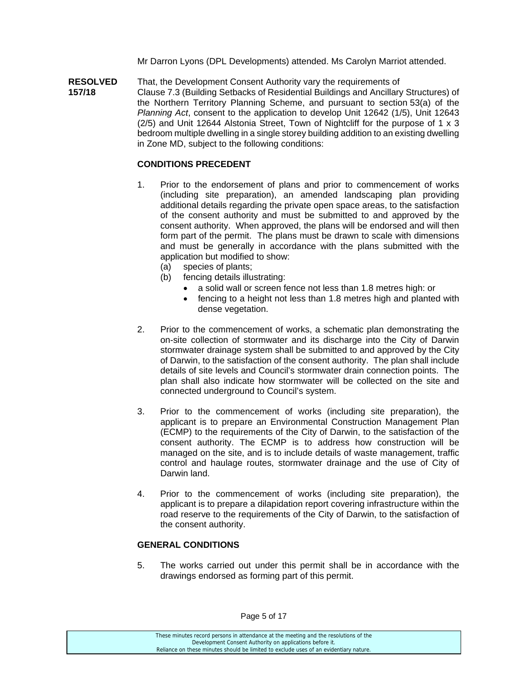Mr Darron Lyons (DPL Developments) attended. Ms Carolyn Marriot attended.

**RESOLVED** That, the Development Consent Authority vary the requirements of **157/18** Clause 7.3 (Building Setbacks of Residential Buildings and Ancillary Structures) of the Northern Territory Planning Scheme, and pursuant to section 53(a) of the *Planning Act*, consent to the application to develop Unit 12642 (1/5), Unit 12643  $(2/5)$  and Unit 12644 Alstonia Street, Town of Nightcliff for the purpose of 1  $\times$  3 bedroom multiple dwelling in a single storey building addition to an existing dwelling in Zone MD, subject to the following conditions:

## **CONDITIONS PRECEDENT**

- 1. Prior to the endorsement of plans and prior to commencement of works (including site preparation), an amended landscaping plan providing additional details regarding the private open space areas, to the satisfaction of the consent authority and must be submitted to and approved by the consent authority. When approved, the plans will be endorsed and will then form part of the permit. The plans must be drawn to scale with dimensions and must be generally in accordance with the plans submitted with the application but modified to show:
	- (a) species of plants;
	- (b) fencing details illustrating:
		- a solid wall or screen fence not less than 1.8 metres high: or
		- fencing to a height not less than 1.8 metres high and planted with dense vegetation.
- 2. Prior to the commencement of works, a schematic plan demonstrating the on-site collection of stormwater and its discharge into the City of Darwin stormwater drainage system shall be submitted to and approved by the City of Darwin, to the satisfaction of the consent authority. The plan shall include details of site levels and Council's stormwater drain connection points. The plan shall also indicate how stormwater will be collected on the site and connected underground to Council's system.
- 3. Prior to the commencement of works (including site preparation), the applicant is to prepare an Environmental Construction Management Plan (ECMP) to the requirements of the City of Darwin, to the satisfaction of the consent authority. The ECMP is to address how construction will be managed on the site, and is to include details of waste management, traffic control and haulage routes, stormwater drainage and the use of City of Darwin land.
- 4. Prior to the commencement of works (including site preparation), the applicant is to prepare a dilapidation report covering infrastructure within the road reserve to the requirements of the City of Darwin, to the satisfaction of the consent authority.

### **GENERAL CONDITIONS**

5. The works carried out under this permit shall be in accordance with the drawings endorsed as forming part of this permit.

These minutes record persons in attendance at the meeting and the resolutions of the Development Consent Authority on applications before it. Reliance on these minutes should be limited to exclude uses of an evidentiary nature.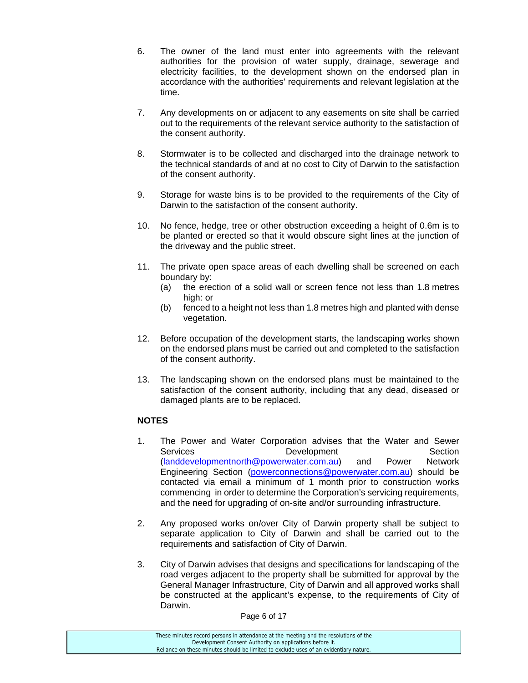- 6. The owner of the land must enter into agreements with the relevant authorities for the provision of water supply, drainage, sewerage and electricity facilities, to the development shown on the endorsed plan in accordance with the authorities' requirements and relevant legislation at the time.
- 7. Any developments on or adjacent to any easements on site shall be carried out to the requirements of the relevant service authority to the satisfaction of the consent authority.
- 8. Stormwater is to be collected and discharged into the drainage network to the technical standards of and at no cost to City of Darwin to the satisfaction of the consent authority.
- 9. Storage for waste bins is to be provided to the requirements of the City of Darwin to the satisfaction of the consent authority.
- 10. No fence, hedge, tree or other obstruction exceeding a height of 0.6m is to be planted or erected so that it would obscure sight lines at the junction of the driveway and the public street.
- 11. The private open space areas of each dwelling shall be screened on each boundary by:
	- (a) the erection of a solid wall or screen fence not less than 1.8 metres high: or
	- (b) fenced to a height not less than 1.8 metres high and planted with dense vegetation.
- 12. Before occupation of the development starts, the landscaping works shown on the endorsed plans must be carried out and completed to the satisfaction of the consent authority.
- 13. The landscaping shown on the endorsed plans must be maintained to the satisfaction of the consent authority, including that any dead, diseased or damaged plants are to be replaced.

## **NOTES**

- 1. The Power and Water Corporation advises that the Water and Sewer Services **Development** Development Section (landdevelopmentnorth@powerwater.com.au) and Power Network Engineering Section (powerconnections@powerwater.com.au) should be contacted via email a minimum of 1 month prior to construction works commencing in order to determine the Corporation's servicing requirements, and the need for upgrading of on-site and/or surrounding infrastructure.
- 2. Any proposed works on/over City of Darwin property shall be subject to separate application to City of Darwin and shall be carried out to the requirements and satisfaction of City of Darwin.
- 3. City of Darwin advises that designs and specifications for landscaping of the road verges adjacent to the property shall be submitted for approval by the General Manager Infrastructure, City of Darwin and all approved works shall be constructed at the applicant's expense, to the requirements of City of Darwin.

Page 6 of 17

| These minutes record persons in attendance at the meeting and the resolutions of the  |
|---------------------------------------------------------------------------------------|
| Development Consent Authority on applications before it.                              |
| Reliance on these minutes should be limited to exclude uses of an evidentiary nature. |
|                                                                                       |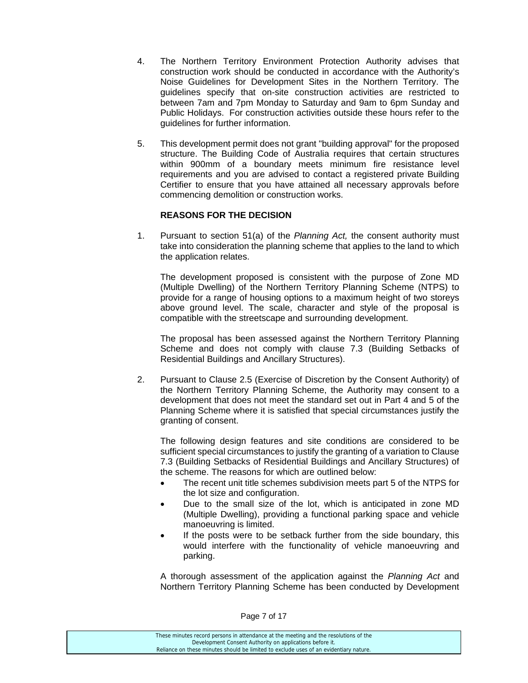- 4. The Northern Territory Environment Protection Authority advises that construction work should be conducted in accordance with the Authority's Noise Guidelines for Development Sites in the Northern Territory. The guidelines specify that on-site construction activities are restricted to between 7am and 7pm Monday to Saturday and 9am to 6pm Sunday and Public Holidays. For construction activities outside these hours refer to the guidelines for further information.
- 5. This development permit does not grant "building approval" for the proposed structure. The Building Code of Australia requires that certain structures within 900mm of a boundary meets minimum fire resistance level requirements and you are advised to contact a registered private Building Certifier to ensure that you have attained all necessary approvals before commencing demolition or construction works.

# **REASONS FOR THE DECISION**

1. Pursuant to section 51(a) of the *Planning Act,* the consent authority must take into consideration the planning scheme that applies to the land to which the application relates.

 The development proposed is consistent with the purpose of Zone MD (Multiple Dwelling) of the Northern Territory Planning Scheme (NTPS) to provide for a range of housing options to a maximum height of two storeys above ground level. The scale, character and style of the proposal is compatible with the streetscape and surrounding development.

 The proposal has been assessed against the Northern Territory Planning Scheme and does not comply with clause 7.3 (Building Setbacks of Residential Buildings and Ancillary Structures).

2. Pursuant to Clause 2.5 (Exercise of Discretion by the Consent Authority) of the Northern Territory Planning Scheme, the Authority may consent to a development that does not meet the standard set out in Part 4 and 5 of the Planning Scheme where it is satisfied that special circumstances justify the granting of consent.

 The following design features and site conditions are considered to be sufficient special circumstances to justify the granting of a variation to Clause 7.3 (Building Setbacks of Residential Buildings and Ancillary Structures) of the scheme. The reasons for which are outlined below:

- The recent unit title schemes subdivision meets part 5 of the NTPS for the lot size and configuration.
- Due to the small size of the lot, which is anticipated in zone MD (Multiple Dwelling), providing a functional parking space and vehicle manoeuvring is limited.
- If the posts were to be setback further from the side boundary, this would interfere with the functionality of vehicle manoeuvring and parking.

 A thorough assessment of the application against the *Planning Act* and Northern Territory Planning Scheme has been conducted by Development

| These minutes record persons in attendance at the meeting and the resolutions of the  |
|---------------------------------------------------------------------------------------|
| Development Consent Authority on applications before it.                              |
| Reliance on these minutes should be limited to exclude uses of an evidentiary nature. |
|                                                                                       |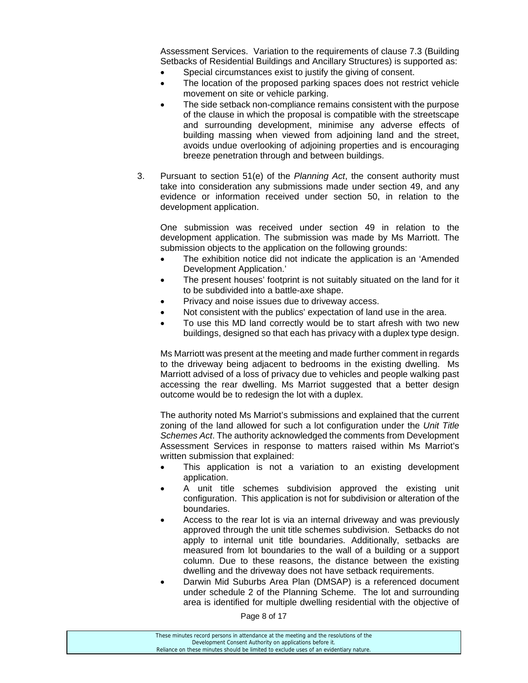Assessment Services. Variation to the requirements of clause 7.3 (Building Setbacks of Residential Buildings and Ancillary Structures) is supported as:

- Special circumstances exist to justify the giving of consent.
- The location of the proposed parking spaces does not restrict vehicle movement on site or vehicle parking.
- The side setback non-compliance remains consistent with the purpose of the clause in which the proposal is compatible with the streetscape and surrounding development, minimise any adverse effects of building massing when viewed from adjoining land and the street, avoids undue overlooking of adjoining properties and is encouraging breeze penetration through and between buildings.
- 3. Pursuant to section 51(e) of the *Planning Act*, the consent authority must take into consideration any submissions made under section 49, and any evidence or information received under section 50, in relation to the development application.

 One submission was received under section 49 in relation to the development application. The submission was made by Ms Marriott. The submission objects to the application on the following grounds:

- The exhibition notice did not indicate the application is an 'Amended Development Application.'
- The present houses' footprint is not suitably situated on the land for it to be subdivided into a battle-axe shape.
- Privacy and noise issues due to driveway access.
- Not consistent with the publics' expectation of land use in the area.
- To use this MD land correctly would be to start afresh with two new buildings, designed so that each has privacy with a duplex type design.

 Ms Marriott was present at the meeting and made further comment in regards to the driveway being adjacent to bedrooms in the existing dwelling. Ms Marriott advised of a loss of privacy due to vehicles and people walking past accessing the rear dwelling. Ms Marriot suggested that a better design outcome would be to redesign the lot with a duplex.

 The authority noted Ms Marriot's submissions and explained that the current zoning of the land allowed for such a lot configuration under the *Unit Title Schemes Act*. The authority acknowledged the comments from Development Assessment Services in response to matters raised within Ms Marriot's written submission that explained:

- This application is not a variation to an existing development application.
- A unit title schemes subdivision approved the existing unit configuration. This application is not for subdivision or alteration of the boundaries.
- Access to the rear lot is via an internal driveway and was previously approved through the unit title schemes subdivision. Setbacks do not apply to internal unit title boundaries. Additionally, setbacks are measured from lot boundaries to the wall of a building or a support column. Due to these reasons, the distance between the existing dwelling and the driveway does not have setback requirements.
- Darwin Mid Suburbs Area Plan (DMSAP) is a referenced document under schedule 2 of the Planning Scheme. The lot and surrounding area is identified for multiple dwelling residential with the objective of

Page 8 of 17

These minutes record persons in attendance at the meeting and the resolutions of the Development Consent Authority on applications before it. Reliance on these minutes should be limited to exclude uses of an evidentiary nature.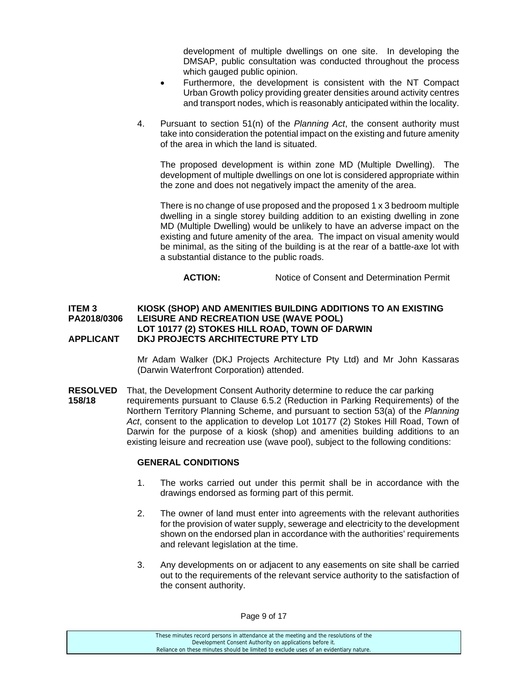development of multiple dwellings on one site. In developing the DMSAP, public consultation was conducted throughout the process which gauged public opinion.

- Furthermore, the development is consistent with the NT Compact Urban Growth policy providing greater densities around activity centres and transport nodes, which is reasonably anticipated within the locality.
- 4. Pursuant to section 51(n) of the *Planning Act*, the consent authority must take into consideration the potential impact on the existing and future amenity of the area in which the land is situated.

 The proposed development is within zone MD (Multiple Dwelling). The development of multiple dwellings on one lot is considered appropriate within the zone and does not negatively impact the amenity of the area.

 There is no change of use proposed and the proposed 1 x 3 bedroom multiple dwelling in a single storey building addition to an existing dwelling in zone MD (Multiple Dwelling) would be unlikely to have an adverse impact on the existing and future amenity of the area. The impact on visual amenity would be minimal, as the siting of the building is at the rear of a battle-axe lot with a substantial distance to the public roads.

**ACTION:** Notice of Consent and Determination Permit

#### **ITEM 3 KIOSK (SHOP) AND AMENITIES BUILDING ADDITIONS TO AN EXISTING PA2018/0306 LEISURE AND RECREATION USE (WAVE POOL) LOT 10177 (2) STOKES HILL ROAD, TOWN OF DARWIN APPLICANT DKJ PROJECTS ARCHITECTURE PTY LTD**

Mr Adam Walker (DKJ Projects Architecture Pty Ltd) and Mr John Kassaras (Darwin Waterfront Corporation) attended.

**RESOLVED** That, the Development Consent Authority determine to reduce the car parking **158/18** requirements pursuant to Clause 6.5.2 (Reduction in Parking Requirements) of the Northern Territory Planning Scheme, and pursuant to section 53(a) of the *Planning Act*, consent to the application to develop Lot 10177 (2) Stokes Hill Road, Town of Darwin for the purpose of a kiosk (shop) and amenities building additions to an existing leisure and recreation use (wave pool), subject to the following conditions:

#### **GENERAL CONDITIONS**

- 1. The works carried out under this permit shall be in accordance with the drawings endorsed as forming part of this permit.
- 2. The owner of land must enter into agreements with the relevant authorities for the provision of water supply, sewerage and electricity to the development shown on the endorsed plan in accordance with the authorities' requirements and relevant legislation at the time.
- 3. Any developments on or adjacent to any easements on site shall be carried out to the requirements of the relevant service authority to the satisfaction of the consent authority.

These minutes record persons in attendance at the meeting and the resolutions of the Development Consent Authority on applications before it. Reliance on these minutes should be limited to exclude uses of an evidentiary nature.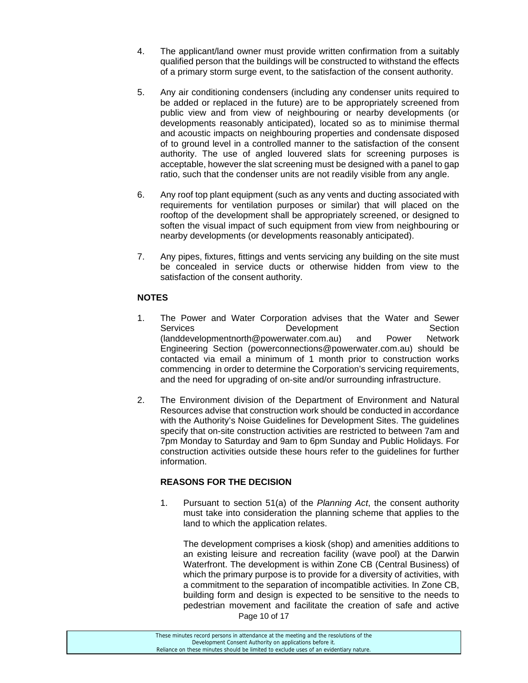- 4. The applicant/land owner must provide written confirmation from a suitably qualified person that the buildings will be constructed to withstand the effects of a primary storm surge event, to the satisfaction of the consent authority.
- 5. Any air conditioning condensers (including any condenser units required to be added or replaced in the future) are to be appropriately screened from public view and from view of neighbouring or nearby developments (or developments reasonably anticipated), located so as to minimise thermal and acoustic impacts on neighbouring properties and condensate disposed of to ground level in a controlled manner to the satisfaction of the consent authority. The use of angled louvered slats for screening purposes is acceptable, however the slat screening must be designed with a panel to gap ratio, such that the condenser units are not readily visible from any angle.
- 6. Any roof top plant equipment (such as any vents and ducting associated with requirements for ventilation purposes or similar) that will placed on the rooftop of the development shall be appropriately screened, or designed to soften the visual impact of such equipment from view from neighbouring or nearby developments (or developments reasonably anticipated).
- 7. Any pipes, fixtures, fittings and vents servicing any building on the site must be concealed in service ducts or otherwise hidden from view to the satisfaction of the consent authority.

## **NOTES**

- 1. The Power and Water Corporation advises that the Water and Sewer Services **Development** Development Section (landdevelopmentnorth@powerwater.com.au) and Power Network Engineering Section (powerconnections@powerwater.com.au) should be contacted via email a minimum of 1 month prior to construction works commencing in order to determine the Corporation's servicing requirements, and the need for upgrading of on-site and/or surrounding infrastructure.
- 2. The Environment division of the Department of Environment and Natural Resources advise that construction work should be conducted in accordance with the Authority's Noise Guidelines for Development Sites. The guidelines specify that on-site construction activities are restricted to between 7am and 7pm Monday to Saturday and 9am to 6pm Sunday and Public Holidays. For construction activities outside these hours refer to the guidelines for further information.

# **REASONS FOR THE DECISION**

1. Pursuant to section 51(a) of the *Planning Act*, the consent authority must take into consideration the planning scheme that applies to the land to which the application relates.

Page 10 of 17 The development comprises a kiosk (shop) and amenities additions to an existing leisure and recreation facility (wave pool) at the Darwin Waterfront. The development is within Zone CB (Central Business) of which the primary purpose is to provide for a diversity of activities, with a commitment to the separation of incompatible activities. In Zone CB, building form and design is expected to be sensitive to the needs to pedestrian movement and facilitate the creation of safe and active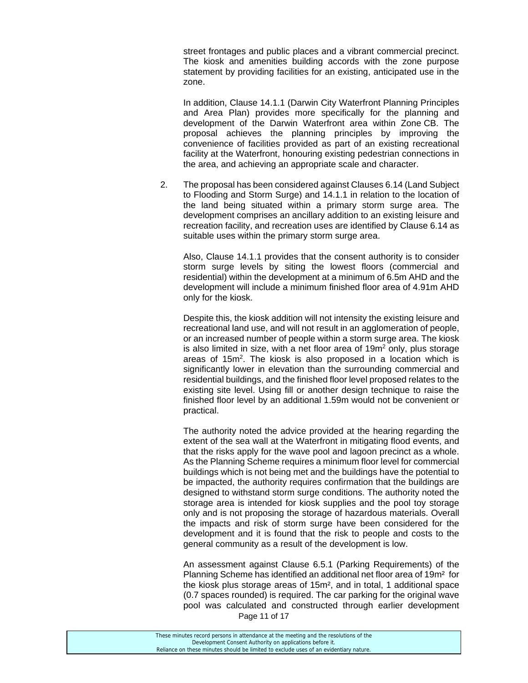street frontages and public places and a vibrant commercial precinct. The kiosk and amenities building accords with the zone purpose statement by providing facilities for an existing, anticipated use in the zone.

 In addition, Clause 14.1.1 (Darwin City Waterfront Planning Principles and Area Plan) provides more specifically for the planning and development of the Darwin Waterfront area within Zone CB. The proposal achieves the planning principles by improving the convenience of facilities provided as part of an existing recreational facility at the Waterfront, honouring existing pedestrian connections in the area, and achieving an appropriate scale and character.

2. The proposal has been considered against Clauses 6.14 (Land Subject to Flooding and Storm Surge) and 14.1.1 in relation to the location of the land being situated within a primary storm surge area. The development comprises an ancillary addition to an existing leisure and recreation facility, and recreation uses are identified by Clause 6.14 as suitable uses within the primary storm surge area.

 Also, Clause 14.1.1 provides that the consent authority is to consider storm surge levels by siting the lowest floors (commercial and residential) within the development at a minimum of 6.5m AHD and the development will include a minimum finished floor area of 4.91m AHD only for the kiosk.

 Despite this, the kiosk addition will not intensity the existing leisure and recreational land use, and will not result in an agglomeration of people, or an increased number of people within a storm surge area. The kiosk is also limited in size, with a net floor area of  $19m^2$  only, plus storage areas of 15m<sup>2</sup>. The kiosk is also proposed in a location which is significantly lower in elevation than the surrounding commercial and residential buildings, and the finished floor level proposed relates to the existing site level. Using fill or another design technique to raise the finished floor level by an additional 1.59m would not be convenient or practical.

The authority noted the advice provided at the hearing regarding the extent of the sea wall at the Waterfront in mitigating flood events, and that the risks apply for the wave pool and lagoon precinct as a whole. As the Planning Scheme requires a minimum floor level for commercial buildings which is not being met and the buildings have the potential to be impacted, the authority requires confirmation that the buildings are designed to withstand storm surge conditions. The authority noted the storage area is intended for kiosk supplies and the pool toy storage only and is not proposing the storage of hazardous materials. Overall the impacts and risk of storm surge have been considered for the development and it is found that the risk to people and costs to the general community as a result of the development is low.

Page 11 of 17 An assessment against Clause 6.5.1 (Parking Requirements) of the Planning Scheme has identified an additional net floor area of 19m² for the kiosk plus storage areas of 15m², and in total, 1 additional space (0.7 spaces rounded) is required. The car parking for the original wave pool was calculated and constructed through earlier development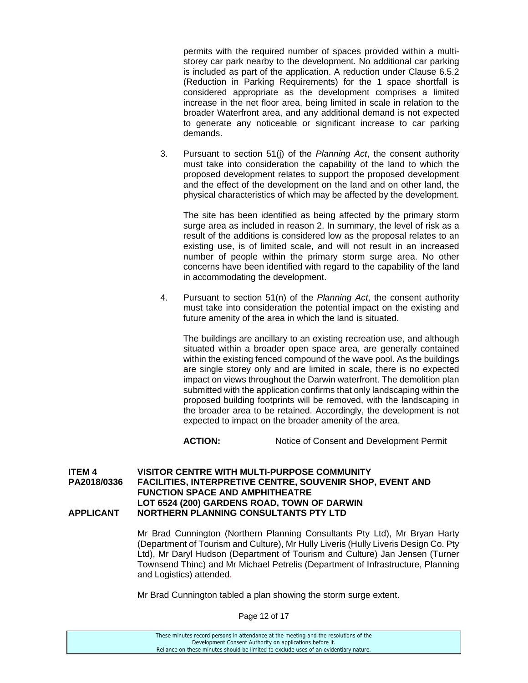permits with the required number of spaces provided within a multistorey car park nearby to the development. No additional car parking is included as part of the application. A reduction under Clause 6.5.2 (Reduction in Parking Requirements) for the 1 space shortfall is considered appropriate as the development comprises a limited increase in the net floor area, being limited in scale in relation to the broader Waterfront area, and any additional demand is not expected to generate any noticeable or significant increase to car parking demands.

3. Pursuant to section 51(j) of the *Planning Act*, the consent authority must take into consideration the capability of the land to which the proposed development relates to support the proposed development and the effect of the development on the land and on other land, the physical characteristics of which may be affected by the development.

The site has been identified as being affected by the primary storm surge area as included in reason 2. In summary, the level of risk as a result of the additions is considered low as the proposal relates to an existing use, is of limited scale, and will not result in an increased number of people within the primary storm surge area. No other concerns have been identified with regard to the capability of the land in accommodating the development.

4. Pursuant to section 51(n) of the *Planning Act*, the consent authority must take into consideration the potential impact on the existing and future amenity of the area in which the land is situated.

The buildings are ancillary to an existing recreation use, and although situated within a broader open space area, are generally contained within the existing fenced compound of the wave pool. As the buildings are single storey only and are limited in scale, there is no expected impact on views throughout the Darwin waterfront. The demolition plan submitted with the application confirms that only landscaping within the proposed building footprints will be removed, with the landscaping in the broader area to be retained. Accordingly, the development is not expected to impact on the broader amenity of the area.

**ACTION:** Notice of Consent and Development Permit

#### **ITEM 4 VISITOR CENTRE WITH MULTI-PURPOSE COMMUNITY PA2018/0336 FACILITIES, INTERPRETIVE CENTRE, SOUVENIR SHOP, EVENT AND FUNCTION SPACE AND AMPHITHEATRE LOT 6524 (200) GARDENS ROAD, TOWN OF DARWIN APPLICANT NORTHERN PLANNING CONSULTANTS PTY LTD**

Mr Brad Cunnington (Northern Planning Consultants Pty Ltd), Mr Bryan Harty (Department of Tourism and Culture), Mr Hully Liveris (Hully Liveris Design Co. Pty Ltd), Mr Daryl Hudson (Department of Tourism and Culture) Jan Jensen (Turner Townsend Thinc) and Mr Michael Petrelis (Department of Infrastructure, Planning and Logistics) attended.

Mr Brad Cunnington tabled a plan showing the storm surge extent.

Page 12 of 17

| These minutes record persons in attendance at the meeting and the resolutions of the  |
|---------------------------------------------------------------------------------------|
| Development Consent Authority on applications before it.                              |
| Reliance on these minutes should be limited to exclude uses of an evidentiary nature. |
|                                                                                       |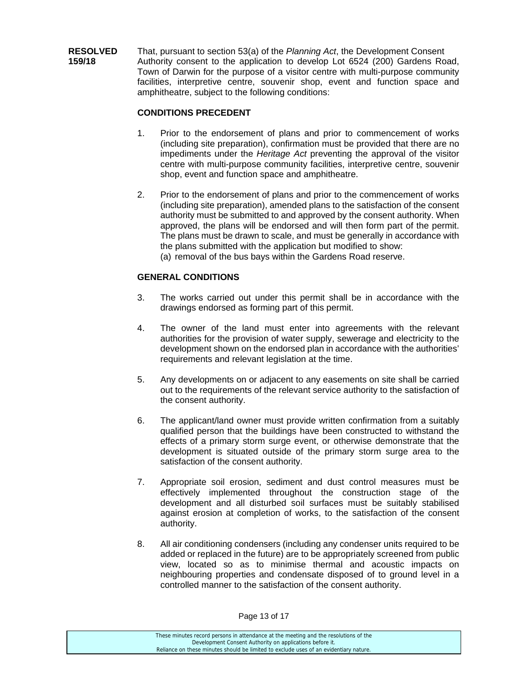**RESOLVED** That, pursuant to section 53(a) of the *Planning Act*, the Development Consent **159/18** Authority consent to the application to develop Lot 6524 (200) Gardens Road, Town of Darwin for the purpose of a visitor centre with multi-purpose community facilities, interpretive centre, souvenir shop, event and function space and amphitheatre, subject to the following conditions:

## **CONDITIONS PRECEDENT**

- 1. Prior to the endorsement of plans and prior to commencement of works (including site preparation), confirmation must be provided that there are no impediments under the *Heritage Act* preventing the approval of the visitor centre with multi-purpose community facilities, interpretive centre, souvenir shop, event and function space and amphitheatre.
- 2. Prior to the endorsement of plans and prior to the commencement of works (including site preparation), amended plans to the satisfaction of the consent authority must be submitted to and approved by the consent authority. When approved, the plans will be endorsed and will then form part of the permit. The plans must be drawn to scale, and must be generally in accordance with the plans submitted with the application but modified to show: (a) removal of the bus bays within the Gardens Road reserve.

## **GENERAL CONDITIONS**

- 3. The works carried out under this permit shall be in accordance with the drawings endorsed as forming part of this permit.
- 4. The owner of the land must enter into agreements with the relevant authorities for the provision of water supply, sewerage and electricity to the development shown on the endorsed plan in accordance with the authorities' requirements and relevant legislation at the time.
- 5. Any developments on or adjacent to any easements on site shall be carried out to the requirements of the relevant service authority to the satisfaction of the consent authority.
- 6. The applicant/land owner must provide written confirmation from a suitably qualified person that the buildings have been constructed to withstand the effects of a primary storm surge event, or otherwise demonstrate that the development is situated outside of the primary storm surge area to the satisfaction of the consent authority.
- 7. Appropriate soil erosion, sediment and dust control measures must be effectively implemented throughout the construction stage of the development and all disturbed soil surfaces must be suitably stabilised against erosion at completion of works, to the satisfaction of the consent authority.
- 8. All air conditioning condensers (including any condenser units required to be added or replaced in the future) are to be appropriately screened from public view, located so as to minimise thermal and acoustic impacts on neighbouring properties and condensate disposed of to ground level in a controlled manner to the satisfaction of the consent authority.

Development Consent Authority on applications before it. Reliance on these minutes should be limited to exclude uses of an evidentiary nature.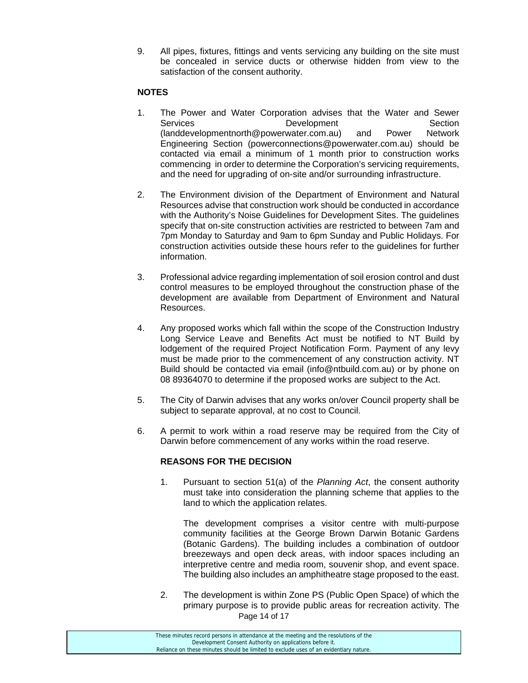9. All pipes, fixtures, fittings and vents servicing any building on the site must be concealed in service ducts or otherwise hidden from view to the satisfaction of the consent authority.

## **NOTES**

- 1. The Power and Water Corporation advises that the Water and Sewer Services **Development** Development Section (landdevelopmentnorth@powerwater.com.au) and Power Network Engineering Section (powerconnections@powerwater.com.au) should be contacted via email a minimum of 1 month prior to construction works commencing in order to determine the Corporation's servicing requirements, and the need for upgrading of on-site and/or surrounding infrastructure.
- 2. The Environment division of the Department of Environment and Natural Resources advise that construction work should be conducted in accordance with the Authority's Noise Guidelines for Development Sites. The guidelines specify that on-site construction activities are restricted to between 7am and 7pm Monday to Saturday and 9am to 6pm Sunday and Public Holidays. For construction activities outside these hours refer to the guidelines for further information.
- 3. Professional advice regarding implementation of soil erosion control and dust control measures to be employed throughout the construction phase of the development are available from Department of Environment and Natural Resources.
- 4. Any proposed works which fall within the scope of the Construction Industry Long Service Leave and Benefits Act must be notified to NT Build by lodgement of the required Project Notification Form. Payment of any levy must be made prior to the commencement of any construction activity. NT Build should be contacted via email (info@ntbuild.com.au) or by phone on 08 89364070 to determine if the proposed works are subject to the Act.
- 5. The City of Darwin advises that any works on/over Council property shall be subject to separate approval, at no cost to Council.
- 6. A permit to work within a road reserve may be required from the City of Darwin before commencement of any works within the road reserve.

## **REASONS FOR THE DECISION**

1. Pursuant to section 51(a) of the *Planning Act*, the consent authority must take into consideration the planning scheme that applies to the land to which the application relates.

The development comprises a visitor centre with multi-purpose community facilities at the George Brown Darwin Botanic Gardens (Botanic Gardens). The building includes a combination of outdoor breezeways and open deck areas, with indoor spaces including an interpretive centre and media room, souvenir shop, and event space. The building also includes an amphitheatre stage proposed to the east.

Page 14 of 17 2. The development is within Zone PS (Public Open Space) of which the primary purpose is to provide public areas for recreation activity. The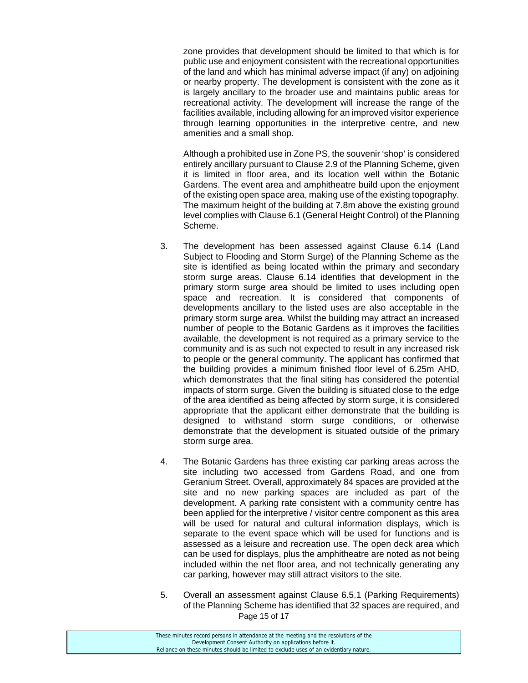zone provides that development should be limited to that which is for public use and enjoyment consistent with the recreational opportunities of the land and which has minimal adverse impact (if any) on adjoining or nearby property. The development is consistent with the zone as it is largely ancillary to the broader use and maintains public areas for recreational activity. The development will increase the range of the facilities available, including allowing for an improved visitor experience through learning opportunities in the interpretive centre, and new amenities and a small shop.

Although a prohibited use in Zone PS, the souvenir 'shop' is considered entirely ancillary pursuant to Clause 2.9 of the Planning Scheme, given it is limited in floor area, and its location well within the Botanic Gardens. The event area and amphitheatre build upon the enjoyment of the existing open space area, making use of the existing topography. The maximum height of the building at 7.8m above the existing ground level complies with Clause 6.1 (General Height Control) of the Planning Scheme.

- 3. The development has been assessed against Clause 6.14 (Land Subject to Flooding and Storm Surge) of the Planning Scheme as the site is identified as being located within the primary and secondary storm surge areas. Clause 6.14 identifies that development in the primary storm surge area should be limited to uses including open space and recreation. It is considered that components of developments ancillary to the listed uses are also acceptable in the primary storm surge area. Whilst the building may attract an increased number of people to the Botanic Gardens as it improves the facilities available, the development is not required as a primary service to the community and is as such not expected to result in any increased risk to people or the general community. The applicant has confirmed that the building provides a minimum finished floor level of 6.25m AHD, which demonstrates that the final siting has considered the potential impacts of storm surge. Given the building is situated close to the edge of the area identified as being affected by storm surge, it is considered appropriate that the applicant either demonstrate that the building is designed to withstand storm surge conditions, or otherwise demonstrate that the development is situated outside of the primary storm surge area.
- 4. The Botanic Gardens has three existing car parking areas across the site including two accessed from Gardens Road, and one from Geranium Street. Overall, approximately 84 spaces are provided at the site and no new parking spaces are included as part of the development. A parking rate consistent with a community centre has been applied for the interpretive / visitor centre component as this area will be used for natural and cultural information displays, which is separate to the event space which will be used for functions and is assessed as a leisure and recreation use. The open deck area which can be used for displays, plus the amphitheatre are noted as not being included within the net floor area, and not technically generating any car parking, however may still attract visitors to the site.
- Page 15 of 17 5. Overall an assessment against Clause 6.5.1 (Parking Requirements) of the Planning Scheme has identified that 32 spaces are required, and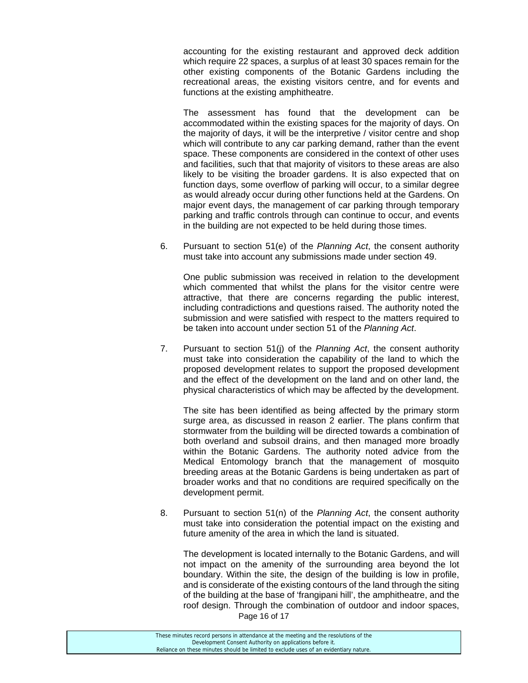accounting for the existing restaurant and approved deck addition which require 22 spaces, a surplus of at least 30 spaces remain for the other existing components of the Botanic Gardens including the recreational areas, the existing visitors centre, and for events and functions at the existing amphitheatre.

The assessment has found that the development can be accommodated within the existing spaces for the majority of days. On the majority of days, it will be the interpretive / visitor centre and shop which will contribute to any car parking demand, rather than the event space. These components are considered in the context of other uses and facilities, such that that majority of visitors to these areas are also likely to be visiting the broader gardens. It is also expected that on function days, some overflow of parking will occur, to a similar degree as would already occur during other functions held at the Gardens. On major event days, the management of car parking through temporary parking and traffic controls through can continue to occur, and events in the building are not expected to be held during those times.

6. Pursuant to section 51(e) of the *Planning Act*, the consent authority must take into account any submissions made under section 49.

One public submission was received in relation to the development which commented that whilst the plans for the visitor centre were attractive, that there are concerns regarding the public interest, including contradictions and questions raised. The authority noted the submission and were satisfied with respect to the matters required to be taken into account under section 51 of the *Planning Act*.

7. Pursuant to section 51(j) of the *Planning Act*, the consent authority must take into consideration the capability of the land to which the proposed development relates to support the proposed development and the effect of the development on the land and on other land, the physical characteristics of which may be affected by the development.

The site has been identified as being affected by the primary storm surge area, as discussed in reason 2 earlier. The plans confirm that stormwater from the building will be directed towards a combination of both overland and subsoil drains, and then managed more broadly within the Botanic Gardens. The authority noted advice from the Medical Entomology branch that the management of mosquito breeding areas at the Botanic Gardens is being undertaken as part of broader works and that no conditions are required specifically on the development permit.

8. Pursuant to section 51(n) of the *Planning Act*, the consent authority must take into consideration the potential impact on the existing and future amenity of the area in which the land is situated.

Page 16 of 17 The development is located internally to the Botanic Gardens, and will not impact on the amenity of the surrounding area beyond the lot boundary. Within the site, the design of the building is low in profile, and is considerate of the existing contours of the land through the siting of the building at the base of 'frangipani hill', the amphitheatre, and the roof design. Through the combination of outdoor and indoor spaces,